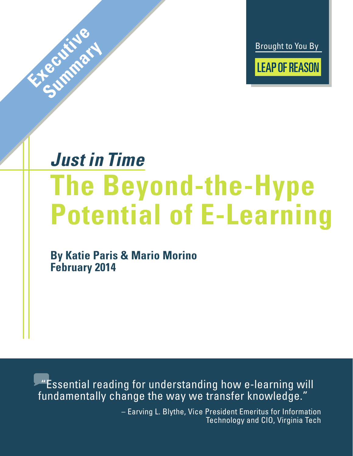Brought to You By **LEAP OF REASON** 

## *Just in Time* **The Beyond-the-Hype Potential of E-Learning**

**By Katie Paris & Mario Morino February 2014**

**Explorer State** 

**Summary** 

 "Essential reading for understanding how e-learning will fundamentally change the way we transfer knowledge."

> – Earving L. Blythe, Vice President Emeritus for Information Technology and CIO, Virginia Tech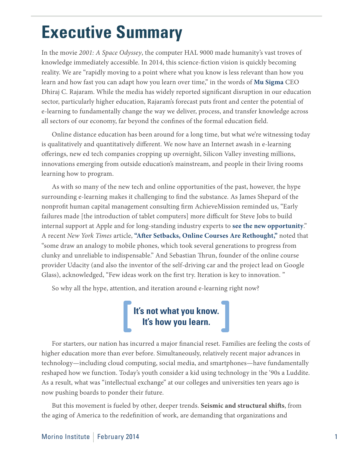## **Executive Summary**

In the movie *2001: A Space Odyssey*, the computer HAL 9000 made humanity's vast troves of knowledge immediately accessible. In 2014, this science-fiction vision is quickly becoming reality. We are "rapidly moving to a point where what you know is less relevant than how you learn and how fast you can adapt how you learn over time," in the words of **[Mu Sigma](http://leapofreason.org/mu-sigma)** CEO Dhiraj C. Rajaram. While the media has widely reported significant disruption in our education sector, particularly higher education, Rajaram's forecast puts front and center the potential of e-learning to fundamentally change the way we deliver, process, and transfer knowledge across all sectors of our economy, far beyond the confines of the formal education field.

Online distance education has been around for a long time, but what we're witnessing today is qualitatively and quantitatively different. We now have an Internet awash in e-learning offerings, new ed tech companies cropping up overnight, Silicon Valley investing millions, innovations emerging from outside education's mainstream, and people in their living rooms learning how to program.

As with so many of the new tech and online opportunities of the past, however, the hype surrounding e-learning makes it challenging to find the substance. As James Shepard of the nonprofit human capital management consulting firm AchieveMission reminded us, "Early failures made [the introduction of tablet computers] more difficult for Steve Jobs to build internal support at Apple and for long-standing industry experts to **[see the new opportunity](http://leapofreason.org/eweek-now-is-different)**." A recent *New York Times* article, **["After Setbacks, Online Courses Are Rethought,](http://leapofreason.org/nytimes-online-courses-rethought)"** noted that "some draw an analogy to mobile phones, which took several generations to progress from clunky and unreliable to indispensable." And Sebastian Thrun, founder of the online course provider Udacity (and also the inventor of the self-driving car and the project lead on Google Glass), acknowledged, "Few ideas work on the first try. Iteration is key to innovation. "

So why all the hype, attention, and iteration around e-learning right now?

## **It's not what you know. It's how you learn.**

For starters, our nation has incurred a major financial reset. Families are feeling the costs of higher education more than ever before. Simultaneously, relatively recent major advances in technology—including cloud computing, social media, and smartphones—have fundamentally reshaped how we function. Today's youth consider a kid using technology in the '90s a Luddite. As a result, what was "intellectual exchange" at our colleges and universities ten years ago is now pushing boards to ponder their future.

But this movement is fueled by other, deeper trends. **Seismic and structural shifts**, from the aging of America to the redefinition of work, are demanding that organizations and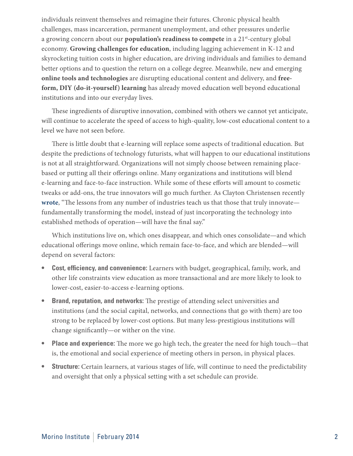individuals reinvent themselves and reimagine their futures. Chronic physical health challenges, mass incarceration, permanent unemployment, and other pressures underlie a growing concern about our **population's readiness to compete** in a 21st-century global economy. **Growing challenges for education**, including lagging achievement in K-12 and skyrocketing tuition costs in higher education, are driving individuals and families to demand better options and to question the return on a college degree. Meanwhile, new and emerging **online tools and technologies** are disrupting educational content and delivery, and **freeform, DIY (do-it-yourself) learning** has already moved education well beyond educational institutions and into our everyday lives.

These ingredients of disruptive innovation, combined with others we cannot yet anticipate, will continue to accelerate the speed of access to high-quality, low-cost educational content to a level we have not seen before.

There is little doubt that e-learning will replace some aspects of traditional education. But despite the predictions of technology futurists, what will happen to our educational institutions is not at all straightforward. Organizations will not simply choose between remaining placebased or putting all their offerings online. Many organizations and institutions will blend e-learning and face-to-face instruction. While some of these efforts will amount to cosmetic tweaks or add-ons, the true innovators will go much further. As Clayton Christensen recently **[wrote](http://leapofreason.org/nytimes-online-education-transformation)**, "The lessons from any number of industries teach us that those that truly innovate fundamentally transforming the model, instead of just incorporating the technology into established methods of operation—will have the final say."

Which institutions live on, which ones disappear, and which ones consolidate—and which educational offerings move online, which remain face-to-face, and which are blended—will depend on several factors:

- **• Cost, efficiency, and convenience:** Learners with budget, geographical, family, work, and other life constraints view education as more transactional and are more likely to look to lower-cost, easier-to-access e-learning options.
- **• Brand, reputation, and networks:** The prestige of attending select universities and institutions (and the social capital, networks, and connections that go with them) are too strong to be replaced by lower-cost options. But many less-prestigious institutions will change significantly—or wither on the vine.
- **• Place and experience:** The more we go high tech, the greater the need for high touch—that is, the emotional and social experience of meeting others in person, in physical places.
- **Structure:** Certain learners, at various stages of life, will continue to need the predictability and oversight that only a physical setting with a set schedule can provide.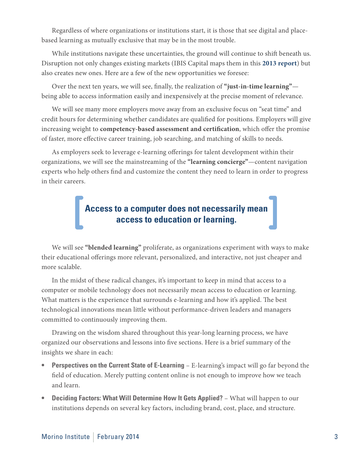Regardless of where organizations or institutions start, it is those that see digital and placebased learning as mutually exclusive that may be in the most trouble.

While institutions navigate these uncertainties, the ground will continue to shift beneath us. Disruption not only changes existing markets (IBIS Capital maps them in this **[2013 report](http://leapofreason.org/IBIS-global-elearning-investment-review-2013)**) but also creates new ones. Here are a few of the new opportunities we foresee:

Over the next ten years, we will see, finally, the realization of **"just-in-time learning"** being able to access information easily and inexpensively at the precise moment of relevance.

We will see many more employers move away from an exclusive focus on "seat time" and credit hours for determining whether candidates are qualified for positions. Employers will give increasing weight to **competency-based assessment and certification**, which offer the promise of faster, more effective career training, job searching, and matching of skills to needs.

As employers seek to leverage e-learning offerings for talent development within their organizations, we will see the mainstreaming of the **"learning concierge"**—content navigation experts who help others find and customize the content they need to learn in order to progress in their careers.

## **Access to a computer does not necessarily mean access to education or learning.**

We will see **"blended learning"** proliferate, as organizations experiment with ways to make their educational offerings more relevant, personalized, and interactive, not just cheaper and more scalable.

In the midst of these radical changes, it's important to keep in mind that access to a computer or mobile technology does not necessarily mean access to education or learning. What matters is the experience that surrounds e-learning and how it's applied. The best technological innovations mean little without performance-driven leaders and managers committed to continuously improving them.

Drawing on the wisdom shared throughout this year-long learning process, we have organized our observations and lessons into five sections. Here is a brief summary of the insights we share in each:

- **Perspectives on the Current State of E-Learning** E-learning's impact will go far beyond the field of education. Merely putting content online is not enough to improve how we teach and learn.
- **Deciding Factors: What Will Determine How It Gets Applied? What will happen to our** institutions depends on several key factors, including brand, cost, place, and structure.